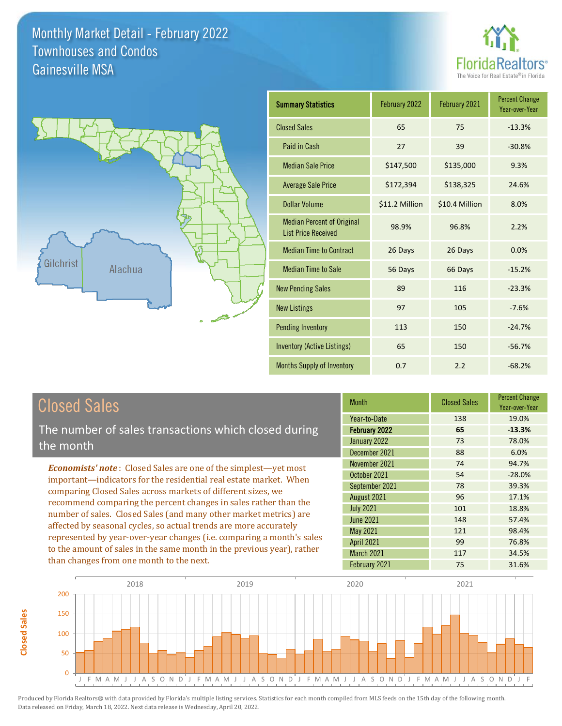



| <b>Summary Statistics</b>                                       | February 2022  | February 2021  | <b>Percent Change</b><br>Year-over-Year |
|-----------------------------------------------------------------|----------------|----------------|-----------------------------------------|
| <b>Closed Sales</b>                                             | 65             | 75             | $-13.3%$                                |
| Paid in Cash                                                    | 27             | 39             | $-30.8%$                                |
| <b>Median Sale Price</b>                                        | \$147,500      | \$135,000      | 9.3%                                    |
| <b>Average Sale Price</b>                                       | \$172,394      | \$138,325      | 24.6%                                   |
| <b>Dollar Volume</b>                                            | \$11.2 Million | \$10.4 Million | 8.0%                                    |
| <b>Median Percent of Original</b><br><b>List Price Received</b> | 98.9%          | 96.8%          | 2.2%                                    |
| <b>Median Time to Contract</b>                                  | 26 Days        | 26 Days        | 0.0%                                    |
| <b>Median Time to Sale</b>                                      | 56 Days        | 66 Days        | $-15.2%$                                |
| <b>New Pending Sales</b>                                        | 89             | 116            | $-23.3%$                                |
| <b>New Listings</b>                                             | 97             | 105            | $-7.6%$                                 |
| <b>Pending Inventory</b>                                        | 113            | 150            | $-24.7%$                                |
| <b>Inventory (Active Listings)</b>                              | 65             | 150            | $-56.7%$                                |
| Months Supply of Inventory                                      | 0.7            | 2.2            | $-68.2%$                                |

The number of sales transactions which closed during the month

*Economists' note* : Closed Sales are one of the simplest—yet most important—indicators for the residential real estate market. When comparing Closed Sales across markets of different sizes, we recommend comparing the percent changes in sales rather than the number of sales. Closed Sales (and many other market metrics) are affected by seasonal cycles, so actual trends are more accurately represented by year-over-year changes (i.e. comparing a month's sales to the amount of sales in the same month in the previous year), rather than changes from one month to the next.

| <b>Month</b>      | <b>Closed Sales</b> | <b>Percent Change</b><br>Year-over-Year |
|-------------------|---------------------|-----------------------------------------|
| Year-to-Date      | 138                 | 19.0%                                   |
| February 2022     | 65                  | $-13.3%$                                |
| January 2022      | 73                  | 78.0%                                   |
| December 2021     | 88                  | 6.0%                                    |
| November 2021     | 74                  | 94.7%                                   |
| October 2021      | 54                  | $-28.0%$                                |
| September 2021    | 78                  | 39.3%                                   |
| August 2021       | 96                  | 17.1%                                   |
| <b>July 2021</b>  | 101                 | 18.8%                                   |
| <b>June 2021</b>  | 148                 | 57.4%                                   |
| May 2021          | 121                 | 98.4%                                   |
| <b>April 2021</b> | 99                  | 76.8%                                   |
| <b>March 2021</b> | 117                 | 34.5%                                   |
| February 2021     | 75                  | 31.6%                                   |

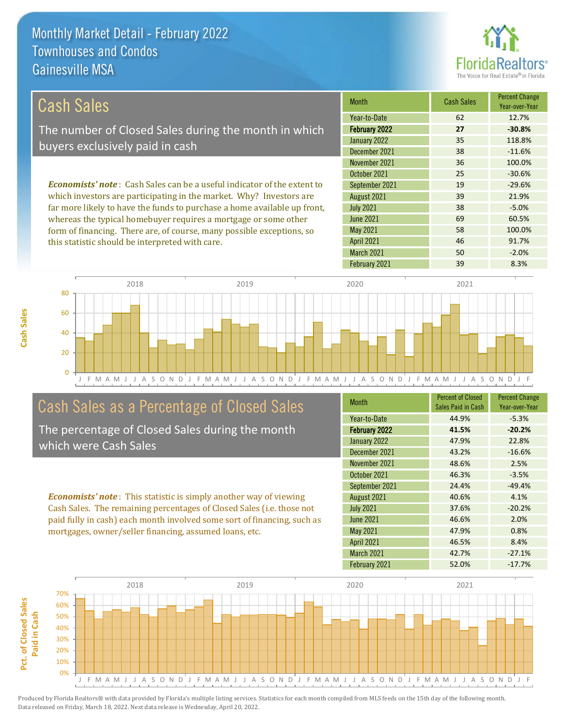this statistic should be interpreted with care.



46 91.7%

| Cash Sales                                                                     | <b>Month</b>     | <b>Cash Sales</b> | <b>Percent Change</b><br>Year-over-Year |
|--------------------------------------------------------------------------------|------------------|-------------------|-----------------------------------------|
|                                                                                | Year-to-Date     | 62                | 12.7%                                   |
| The number of Closed Sales during the month in which                           | February 2022    | 27                | $-30.8%$                                |
| buyers exclusively paid in cash                                                | January 2022     | 35                | 118.8%                                  |
|                                                                                | December 2021    | 38                | $-11.6%$                                |
|                                                                                | November 2021    | 36                | 100.0%                                  |
|                                                                                | October 2021     | 25                | $-30.6%$                                |
| <b>Economists' note:</b> Cash Sales can be a useful indicator of the extent to | September 2021   | 19                | $-29.6%$                                |
| which investors are participating in the market. Why? Investors are            | August 2021      | 39                | 21.9%                                   |
| far more likely to have the funds to purchase a home available up front,       | <b>July 2021</b> | 38                | $-5.0%$                                 |
| whereas the typical homebuyer requires a mortgage or some other                | June 2021        | 69                | 60.5%                                   |
| form of financing. There are, of course, many possible exceptions, so          | May 2021         | 58                | 100.0%                                  |



# Cash Sales as a Percentage of Closed Sales

The percentage of Closed Sales during the month which were Cash Sales

*Economists' note* : This statistic is simply another way of viewing Cash Sales. The remaining percentages of Closed Sales (i.e. those not paid fully in cash) each month involved some sort of financing, such as mortgages, owner/seller financing, assumed loans, etc.

| <b>Month</b>      | <b>Percent of Closed</b><br>Sales Paid in Cash | <b>Percent Change</b><br>Year-over-Year |
|-------------------|------------------------------------------------|-----------------------------------------|
| Year-to-Date      | 44.9%                                          | $-5.3%$                                 |
| February 2022     | 41.5%                                          | $-20.2%$                                |
| January 2022      | 47.9%                                          | 22.8%                                   |
| December 2021     | 43.2%                                          | $-16.6%$                                |
| November 2021     | 48.6%                                          | 2.5%                                    |
| October 2021      | 46.3%                                          | $-3.5%$                                 |
| September 2021    | 24.4%                                          | $-49.4%$                                |
| August 2021       | 40.6%                                          | 4.1%                                    |
| <b>July 2021</b>  | 37.6%                                          | $-20.2%$                                |
| <b>June 2021</b>  | 46.6%                                          | 2.0%                                    |
| <b>May 2021</b>   | 47.9%                                          | 0.8%                                    |
| <b>April 2021</b> | 46.5%                                          | 8.4%                                    |
| <b>March 2021</b> | 42.7%                                          | $-27.1%$                                |
| February 2021     | 52.0%                                          | $-17.7%$                                |

February 2021 39 39 8.3%

March 2021 50 -2.0%

April 2021

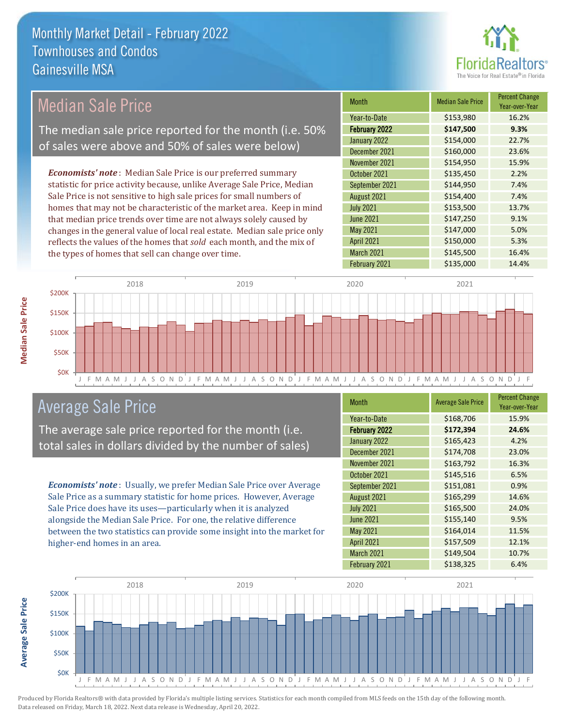

#### Month Median Sale Price Percent Change Year-over-Year February 2022 **\$147,500 9.3%** Year-to-Date \$153,980 16.2% July 2021 **\$153,500** 13.7% January 2022 <br>  $\begin{array}{|c|c|c|c|c|}\n\hline\n& & & 154,000 & 22.7\% \\
\hline\n\end{array}$ December 2021 \$160,000 23.6% September 2021 **\$144,950** 7.4% August 2021 **\$154,400** 7.4% November 2021 **\$154,950** 15.9% October 2021 **\$135,450** 2.2% June 2021 **\$147,250** 9.1% May 2021 **5147,000** 5147,000 5.0% April 2021 **\$150,000** 5.3% March 2021 \$145,500 16.4% February 2021 **\$135,000** 14.4% *Economists' note* : Median Sale Price is our preferred summary statistic for price activity because, unlike Average Sale Price, Median Sale Price is not sensitive to high sale prices for small numbers of homes that may not be characteristic of the market area. Keep in mind that median price trends over time are not always solely caused by changes in the general value of local real estate. Median sale price only reflects the values of the homes that *sold* each month, and the mix of the types of homes that sell can change over time. 2018 2019 2020 2021 Median Sale Price The median sale price reported for the month (i.e. 50% of sales were above and 50% of sales were below)



# Average Sale Price

The average sale price reported for the month (i.e. total sales in dollars divided by the number of sales)

*Economists' note* : Usually, we prefer Median Sale Price over Average Sale Price as a summary statistic for home prices. However, Average Sale Price does have its uses—particularly when it is analyzed alongside the Median Sale Price. For one, the relative difference between the two statistics can provide some insight into the market for higher-end homes in an area.

| <b>Month</b>         | <b>Average Sale Price</b> | <b>Percent Change</b><br>Year-over-Year |
|----------------------|---------------------------|-----------------------------------------|
| Year-to-Date         | \$168,706                 | 15.9%                                   |
| <b>February 2022</b> | \$172,394                 | 24.6%                                   |
| January 2022         | \$165,423                 | 4.2%                                    |
| December 2021        | \$174,708                 | 23.0%                                   |
| November 2021        | \$163,792                 | 16.3%                                   |
| October 2021         | \$145,516                 | 6.5%                                    |
| September 2021       | \$151,081                 | 0.9%                                    |
| August 2021          | \$165,299                 | 14.6%                                   |
| <b>July 2021</b>     | \$165,500                 | 24.0%                                   |
| <b>June 2021</b>     | \$155,140                 | 9.5%                                    |
| <b>May 2021</b>      | \$164,014                 | 11.5%                                   |
| <b>April 2021</b>    | \$157,509                 | 12.1%                                   |
| <b>March 2021</b>    | \$149,504                 | 10.7%                                   |
| February 2021        | \$138,325                 | 6.4%                                    |



Produced by Florida Realtors® with data provided by Florida's multiple listing services. Statistics for each month compiled from MLS feeds on the 15th day of the following month. Data released on Friday, March 18, 2022. Next data release is Wednesday, April 20, 2022.

**Average Sale Price**

**Average Sale Price**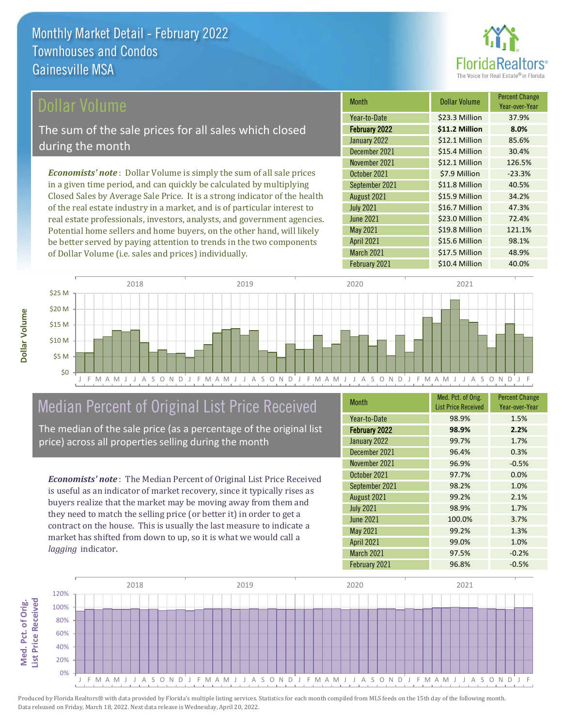

### Dollar Volume

The sum of the sale prices for all sales which closed during the month

*Economists' note* : Dollar Volume is simply the sum of all sale prices in a given time period, and can quickly be calculated by multiplying Closed Sales by Average Sale Price. It is a strong indicator of the health of the real estate industry in a market, and is of particular interest to real estate professionals, investors, analysts, and government agencies. Potential home sellers and home buyers, on the other hand, will likely be better served by paying attention to trends in the two components of Dollar Volume (i.e. sales and prices) individually.

| <b>Month</b>         | <b>Dollar Volume</b> | <b>Percent Change</b><br>Year-over-Year |
|----------------------|----------------------|-----------------------------------------|
| Year-to-Date         | \$23.3 Million       | 37.9%                                   |
| <b>February 2022</b> | \$11.2 Million       | 8.0%                                    |
| January 2022         | \$12.1 Million       | 85.6%                                   |
| December 2021        | \$15.4 Million       | 30.4%                                   |
| November 2021        | \$12.1 Million       | 126.5%                                  |
| October 2021         | \$7.9 Million        | $-23.3%$                                |
| September 2021       | \$11.8 Million       | 40.5%                                   |
| August 2021          | \$15.9 Million       | 34.2%                                   |
| <b>July 2021</b>     | \$16.7 Million       | 47.3%                                   |
| <b>June 2021</b>     | \$23.0 Million       | 72.4%                                   |
| May 2021             | \$19.8 Million       | 121.1%                                  |
| April 2021           | \$15.6 Million       | 98.1%                                   |
| March 2021           | \$17.5 Million       | 48.9%                                   |
| February 2021        | \$10.4 Million       | 40.0%                                   |



# Median Percent of Original List Price Received

The median of the sale price (as a percentage of the original list price) across all properties selling during the month

*Economists' note* : The Median Percent of Original List Price Received is useful as an indicator of market recovery, since it typically rises as buyers realize that the market may be moving away from them and they need to match the selling price (or better it) in order to get a contract on the house. This is usually the last measure to indicate a market has shifted from down to up, so it is what we would call a *lagging* indicator.

| <b>Month</b>         | Med. Pct. of Orig.<br><b>List Price Received</b> | <b>Percent Change</b><br>Year-over-Year |
|----------------------|--------------------------------------------------|-----------------------------------------|
| Year-to-Date         | 98.9%                                            | 1.5%                                    |
| <b>February 2022</b> | 98.9%                                            | 2.2%                                    |
| January 2022         | 99.7%                                            | 1.7%                                    |
| December 2021        | 96.4%                                            | 0.3%                                    |
| November 2021        | 96.9%                                            | $-0.5%$                                 |
| October 2021         | 97.7%                                            | 0.0%                                    |
| September 2021       | 98.2%                                            | 1.0%                                    |
| August 2021          | 99.2%                                            | 2.1%                                    |
| <b>July 2021</b>     | 98.9%                                            | 1.7%                                    |
| June 2021            | 100.0%                                           | 3.7%                                    |
| <b>May 2021</b>      | 99.2%                                            | 1.3%                                    |
| <b>April 2021</b>    | 99.0%                                            | 1.0%                                    |
| <b>March 2021</b>    | 97.5%                                            | $-0.2%$                                 |
| February 2021        | 96.8%                                            | $-0.5%$                                 |

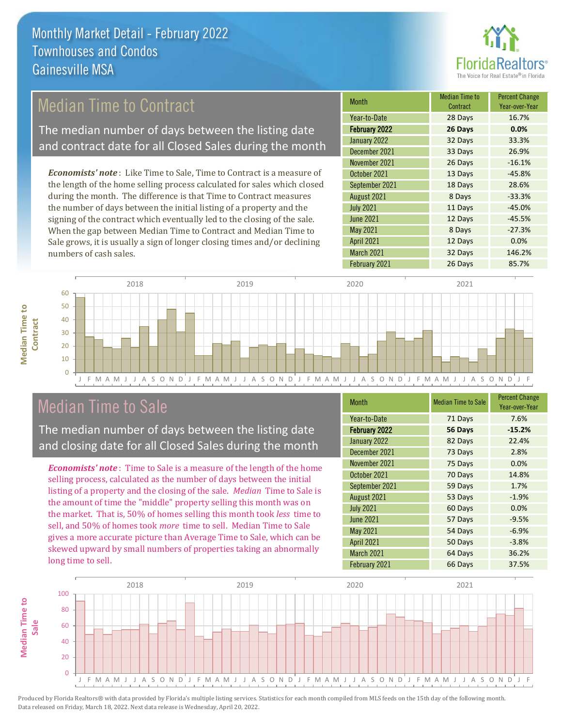

# Median Time to Contract

The median number of days between the listing date and contract date for all Closed Sales during the month

*Economists' note* : Like Time to Sale, Time to Contract is a measure of the length of the home selling process calculated for sales which closed during the month. The difference is that Time to Contract measures the number of days between the initial listing of a property and the signing of the contract which eventually led to the closing of the sale. When the gap between Median Time to Contract and Median Time to Sale grows, it is usually a sign of longer closing times and/or declining numbers of cash sales.

| <b>Month</b>      | <b>Median Time to</b><br>Contract | <b>Percent Change</b><br>Year-over-Year |
|-------------------|-----------------------------------|-----------------------------------------|
| Year-to-Date      | 28 Days                           | 16.7%                                   |
| February 2022     | 26 Days                           | 0.0%                                    |
| January 2022      | 32 Days                           | 33.3%                                   |
| December 2021     | 33 Days                           | 26.9%                                   |
| November 2021     | 26 Days                           | $-16.1%$                                |
| October 2021      | 13 Days                           | $-45.8%$                                |
| September 2021    | 18 Days                           | 28.6%                                   |
| August 2021       | 8 Days                            | $-33.3%$                                |
| <b>July 2021</b>  | 11 Days                           | $-45.0%$                                |
| <b>June 2021</b>  | 12 Days                           | $-45.5%$                                |
| May 2021          | 8 Days                            | $-27.3%$                                |
| <b>April 2021</b> | 12 Days                           | 0.0%                                    |
| March 2021        | 32 Days                           | 146.2%                                  |
| February 2021     | 26 Days                           | 85.7%                                   |



## Median Time to Sale

**Median Time to** 

**Median Time to** 

The median number of days between the listing date and closing date for all Closed Sales during the month

*Economists' note* : Time to Sale is a measure of the length of the home selling process, calculated as the number of days between the initial listing of a property and the closing of the sale. *Median* Time to Sale is the amount of time the "middle" property selling this month was on the market. That is, 50% of homes selling this month took *less* time to sell, and 50% of homes took *more* time to sell. Median Time to Sale gives a more accurate picture than Average Time to Sale, which can be skewed upward by small numbers of properties taking an abnormally long time to sell.

| <b>Month</b>         | <b>Median Time to Sale</b> | <b>Percent Change</b><br>Year-over-Year |
|----------------------|----------------------------|-----------------------------------------|
| Year-to-Date         | 71 Days                    | 7.6%                                    |
| <b>February 2022</b> | 56 Days                    | $-15.2%$                                |
| January 2022         | 82 Days                    | 22.4%                                   |
| December 2021        | 73 Days                    | 2.8%                                    |
| November 2021        | 75 Days                    | 0.0%                                    |
| October 2021         | 70 Days                    | 14.8%                                   |
| September 2021       | 59 Days                    | 1.7%                                    |
| August 2021          | 53 Days                    | $-1.9%$                                 |
| <b>July 2021</b>     | 60 Days                    | 0.0%                                    |
| <b>June 2021</b>     | 57 Days                    | $-9.5%$                                 |
| May 2021             | 54 Days                    | $-6.9%$                                 |
| <b>April 2021</b>    | 50 Days                    | $-3.8%$                                 |
| <b>March 2021</b>    | 64 Days                    | 36.2%                                   |
| February 2021        | 66 Days                    | 37.5%                                   |

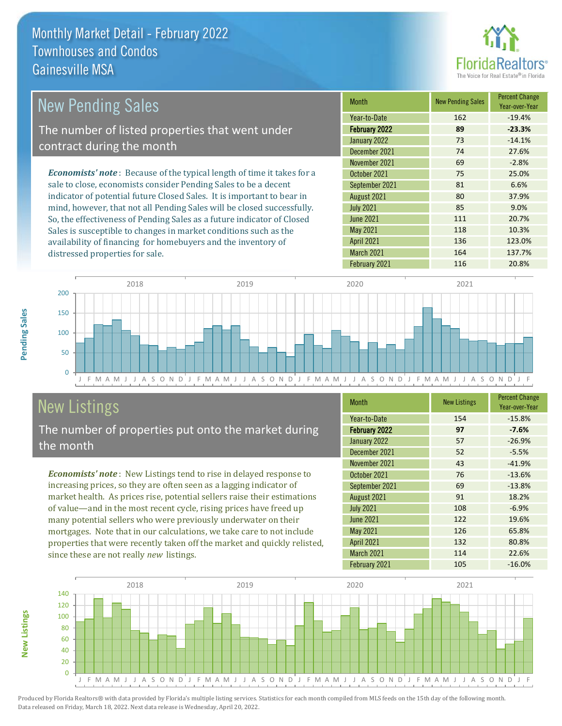

| <b>New Pending Sales</b>                                                       | <b>Month</b>      | <b>New Pending Sales</b> | <b>Percent Change</b><br>Year-over-Year |
|--------------------------------------------------------------------------------|-------------------|--------------------------|-----------------------------------------|
|                                                                                | Year-to-Date      | 162                      | $-19.4%$                                |
| The number of listed properties that went under                                | February 2022     | 89                       | $-23.3%$                                |
| contract during the month                                                      | January 2022      | 73                       | $-14.1%$                                |
|                                                                                | December 2021     | 74                       | 27.6%                                   |
|                                                                                | November 2021     | 69                       | $-2.8%$                                 |
| <b>Economists' note</b> : Because of the typical length of time it takes for a | October 2021      | 75                       | 25.0%                                   |
| sale to close, economists consider Pending Sales to be a decent                | September 2021    | 81                       | 6.6%                                    |
| indicator of potential future Closed Sales. It is important to bear in         | August 2021       | 80                       | 37.9%                                   |
| mind, however, that not all Pending Sales will be closed successfully.         | <b>July 2021</b>  | 85                       | 9.0%                                    |
| So, the effectiveness of Pending Sales as a future indicator of Closed         | June 2021         | 111                      | 20.7%                                   |
| Sales is susceptible to changes in market conditions such as the               | May 2021          | 118                      | 10.3%                                   |
| availability of financing for homebuyers and the inventory of                  | <b>April 2021</b> | 136                      | 123.0%                                  |



# New Listings

distressed properties for sale.

The number of properties put onto the market during the month

availability of financing for homebuyers and the inventory of

*Economists' note* : New Listings tend to rise in delayed response to increasing prices, so they are often seen as a lagging indicator of market health. As prices rise, potential sellers raise their estimations of value—and in the most recent cycle, rising prices have freed up many potential sellers who were previously underwater on their mortgages. Note that in our calculations, we take care to not include properties that were recently taken off the market and quickly relisted, since these are not really *new* listings.

| <b>Month</b>         | <b>New Listings</b> | <b>Percent Change</b><br>Year-over-Year |
|----------------------|---------------------|-----------------------------------------|
| Year-to-Date         | 154                 | $-15.8%$                                |
| <b>February 2022</b> | 97                  | $-7.6%$                                 |
| January 2022         | 57                  | $-26.9%$                                |
| December 2021        | 52                  | $-5.5%$                                 |
| November 2021        | 43                  | $-41.9%$                                |
| October 2021         | 76                  | $-13.6%$                                |
| September 2021       | 69                  | $-13.8%$                                |
| August 2021          | 91                  | 18.2%                                   |
| <b>July 2021</b>     | 108                 | $-6.9%$                                 |
| <b>June 2021</b>     | 122                 | 19.6%                                   |
| <b>May 2021</b>      | 126                 | 65.8%                                   |
| <b>April 2021</b>    | 132                 | 80.8%                                   |
| <b>March 2021</b>    | 114                 | 22.6%                                   |
| February 2021        | 105                 | $-16.0%$                                |

March 2021 164 137.7%



Produced by Florida Realtors® with data provided by Florida's multiple listing services. Statistics for each month compiled from MLS feeds on the 15th day of the following month. Data released on Friday, March 18, 2022. Next data release is Wednesday, April 20, 2022.

**New Listings**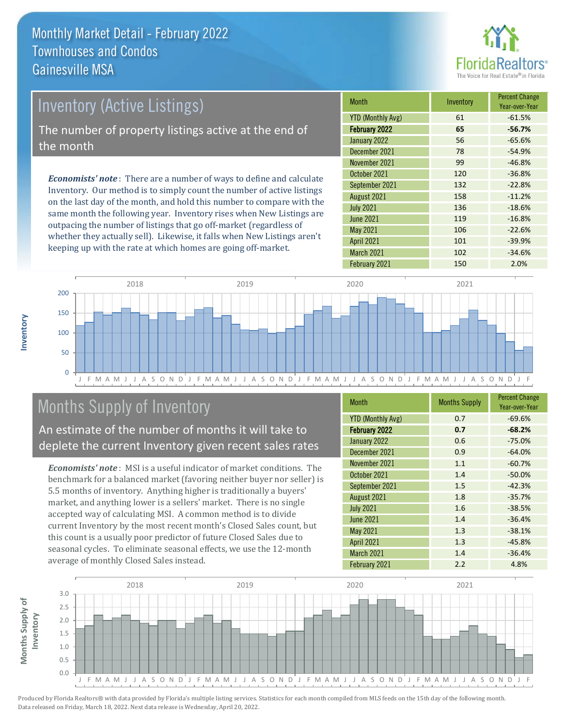

# Inventory (Active Listings) The number of property listings active at the end of the month

*Economists' note* : There are a number of ways to define and calculate Inventory. Our method is to simply count the number of active listings on the last day of the month, and hold this number to compare with the same month the following year. Inventory rises when New Listings are outpacing the number of listings that go off-market (regardless of whether they actually sell). Likewise, it falls when New Listings aren't keeping up with the rate at which homes are going off-market.

| <b>Month</b>             | Inventory | <b>Percent Change</b><br>Year-over-Year |
|--------------------------|-----------|-----------------------------------------|
| <b>YTD (Monthly Avg)</b> | 61        | $-61.5%$                                |
| <b>February 2022</b>     | 65        | $-56.7%$                                |
| January 2022             | 56        | $-65.6%$                                |
| December 2021            | 78        | $-54.9%$                                |
| November 2021            | 99        | $-46.8%$                                |
| October 2021             | 120       | $-36.8%$                                |
| September 2021           | 132       | $-22.8%$                                |
| August 2021              | 158       | $-11.2%$                                |
| <b>July 2021</b>         | 136       | $-18.6%$                                |
| <b>June 2021</b>         | 119       | $-16.8%$                                |
| <b>May 2021</b>          | 106       | $-22.6%$                                |
| <b>April 2021</b>        | 101       | $-39.9%$                                |
| March 2021               | 102       | $-34.6%$                                |
| February 2021            | 150       | 2.0%                                    |



# Months Supply of Inventory

An estimate of the number of months it will take to deplete the current Inventory given recent sales rates

*Economists' note* : MSI is a useful indicator of market conditions. The benchmark for a balanced market (favoring neither buyer nor seller) is 5.5 months of inventory. Anything higher is traditionally a buyers' market, and anything lower is a sellers' market. There is no single accepted way of calculating MSI. A common method is to divide current Inventory by the most recent month's Closed Sales count, but this count is a usually poor predictor of future Closed Sales due to seasonal cycles. To eliminate seasonal effects, we use the 12-month average of monthly Closed Sales instead.

| <b>Month</b>             | <b>Months Supply</b> | <b>Percent Change</b><br>Year-over-Year |
|--------------------------|----------------------|-----------------------------------------|
| <b>YTD (Monthly Avg)</b> | 0.7                  | $-69.6%$                                |
| February 2022            | 0.7                  | $-68.2%$                                |
| January 2022             | 0.6                  | $-75.0%$                                |
| December 2021            | 0.9                  | $-64.0%$                                |
| November 2021            | 1.1                  | $-60.7%$                                |
| October 2021             | 1.4                  | $-50.0%$                                |
| September 2021           | 1.5                  | $-42.3%$                                |
| August 2021              | 1.8                  | $-35.7%$                                |
| <b>July 2021</b>         | 1.6                  | $-38.5%$                                |
| June 2021                | 1.4                  | $-36.4%$                                |
| May 2021                 | 1.3                  | $-38.1%$                                |
| <b>April 2021</b>        | 1.3                  | $-45.8%$                                |
| <b>March 2021</b>        | 1.4                  | $-36.4%$                                |
| February 2021            | 2.2                  | 4.8%                                    |

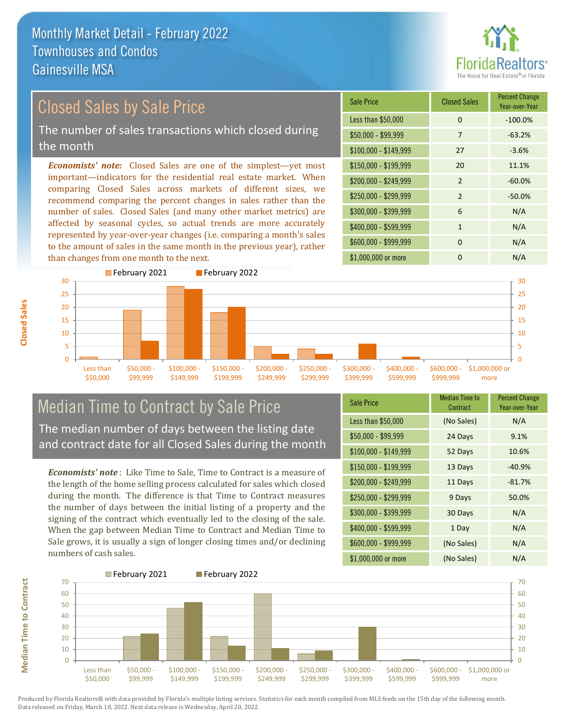

# Closed Sales by Sale Price

The number of sales transactions which closed during the month

*Economists' note:* Closed Sales are one of the simplest—yet most important—indicators for the residential real estate market. When comparing Closed Sales across markets of different sizes, we recommend comparing the percent changes in sales rather than the number of sales. Closed Sales (and many other market metrics) are affected by seasonal cycles, so actual trends are more accurately represented by year-over-year changes (i.e. comparing a month's sales to the amount of sales in the same month in the previous year), rather than changes from one month to the next.

| <b>Sale Price</b>     | <b>Closed Sales</b> | <b>Percent Change</b><br>Year-over-Year |
|-----------------------|---------------------|-----------------------------------------|
| Less than \$50,000    | $\Omega$            | $-100.0%$                               |
| \$50,000 - \$99,999   | 7                   | $-63.2%$                                |
| $$100,000 - $149,999$ | 27                  | $-3.6%$                                 |
| $$150,000 - $199,999$ | 20                  | 11.1%                                   |
| \$200,000 - \$249,999 | $\overline{2}$      | $-60.0%$                                |
| \$250,000 - \$299,999 | $\mathcal{P}$       | $-50.0%$                                |
| \$300,000 - \$399,999 | 6                   | N/A                                     |
| \$400,000 - \$599,999 | $\mathbf{1}$        | N/A                                     |
| \$600,000 - \$999,999 | $\Omega$            | N/A                                     |
| \$1,000,000 or more   | O                   | N/A                                     |



#### Median Time to Contract by Sale Price The median number of days between the listing date and contract date for all Closed Sales during the month

*Economists' note* : Like Time to Sale, Time to Contract is a measure of the length of the home selling process calculated for sales which closed during the month. The difference is that Time to Contract measures the number of days between the initial listing of a property and the signing of the contract which eventually led to the closing of the sale. When the gap between Median Time to Contract and Median Time to Sale grows, it is usually a sign of longer closing times and/or declining numbers of cash sales.

| <b>Sale Price</b>     | <b>Median Time to</b><br>Contract | <b>Percent Change</b><br>Year-over-Year |
|-----------------------|-----------------------------------|-----------------------------------------|
| Less than \$50,000    | (No Sales)                        | N/A                                     |
| \$50,000 - \$99,999   | 24 Days                           | 9.1%                                    |
| $$100,000 - $149,999$ | 52 Days                           | 10.6%                                   |
| $$150,000 - $199,999$ | 13 Days                           | $-40.9%$                                |
| $$200,000 - $249,999$ | 11 Days                           | $-81.7%$                                |
| \$250,000 - \$299,999 | 9 Days                            | 50.0%                                   |
| \$300,000 - \$399,999 | 30 Days                           | N/A                                     |
| \$400,000 - \$599,999 | 1 Day                             | N/A                                     |
| \$600,000 - \$999,999 | (No Sales)                        | N/A                                     |
| \$1,000,000 or more   | (No Sales)                        | N/A                                     |



Produced by Florida Realtors® with data provided by Florida's multiple listing services. Statistics for each month compiled from MLS feeds on the 15th day of the following month. Data released on Friday, March 18, 2022. Next data release is Wednesday, April 20, 2022.

**Median Time to Contract**

**Median Time to Contract**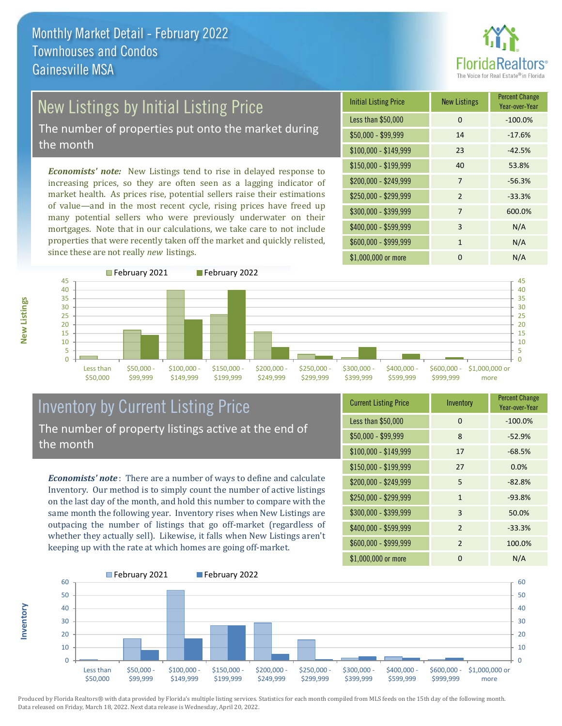

# New Listings by Initial Listing Price

The number of properties put onto the market during the month

*Economists' note:* New Listings tend to rise in delayed response to increasing prices, so they are often seen as a lagging indicator of market health. As prices rise, potential sellers raise their estimations of value—and in the most recent cycle, rising prices have freed up many potential sellers who were previously underwater on their mortgages. Note that in our calculations, we take care to not include properties that were recently taken off the market and quickly relisted, since these are not really *new* listings.

| <b>Initial Listing Price</b> | <b>New Listings</b> | <b>Percent Change</b><br>Year-over-Year |
|------------------------------|---------------------|-----------------------------------------|
| Less than \$50,000           | $\Omega$            | $-100.0%$                               |
| \$50,000 - \$99,999          | 14                  | $-17.6%$                                |
| $$100,000 - $149,999$        | 23                  | $-42.5%$                                |
| $$150,000 - $199,999$        | 40                  | 53.8%                                   |
| \$200,000 - \$249,999        | 7                   | $-56.3%$                                |
| \$250,000 - \$299,999        | $\mathcal{P}$       | $-33.3%$                                |
| \$300,000 - \$399,999        | 7                   | 600.0%                                  |
| \$400,000 - \$599,999        | 3                   | N/A                                     |
| \$600,000 - \$999,999        | 1                   | N/A                                     |
| \$1,000,000 or more          | ŋ                   | N/A                                     |



### Inventory by Current Listing Price The number of property listings active at the end of the month

*Economists' note* : There are a number of ways to define and calculate Inventory. Our method is to simply count the number of active listings on the last day of the month, and hold this number to compare with the same month the following year. Inventory rises when New Listings are outpacing the number of listings that go off-market (regardless of whether they actually sell). Likewise, it falls when New Listings aren't keeping up with the rate at which homes are going off-market.

| <b>Current Listing Price</b> | Inventory      | <b>Percent Change</b><br>Year-over-Year |
|------------------------------|----------------|-----------------------------------------|
| Less than \$50,000           | $\Omega$       | $-100.0%$                               |
| $$50,000 - $99,999$          | 8              | $-52.9%$                                |
| $$100,000 - $149,999$        | 17             | $-68.5%$                                |
| $$150,000 - $199,999$        | 27             | 0.0%                                    |
| \$200,000 - \$249,999        | 5              | $-82.8%$                                |
| \$250,000 - \$299,999        | $\mathbf{1}$   | $-93.8%$                                |
| \$300,000 - \$399,999        | 3              | 50.0%                                   |
| $$400,000 - $599,999$        | $\overline{2}$ | $-33.3%$                                |
| \$600,000 - \$999,999        | 2              | 100.0%                                  |
| \$1,000,000 or more          | 0              | N/A                                     |



Produced by Florida Realtors® with data provided by Florida's multiple listing services. Statistics for each month compiled from MLS feeds on the 15th day of the following month. Data released on Friday, March 18, 2022. Next data release is Wednesday, April 20, 2022.

**Inventory**